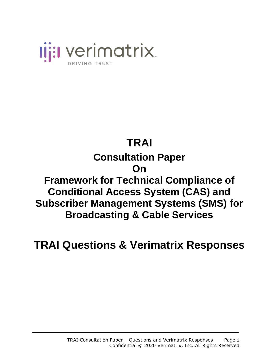

### **TRAI Consultation Paper On Framework for Technical Compliance of Conditional Access System (CAS) and Subscriber Management Systems (SMS) for Broadcasting & Cable Services**

**TRAI Questions & Verimatrix Responses**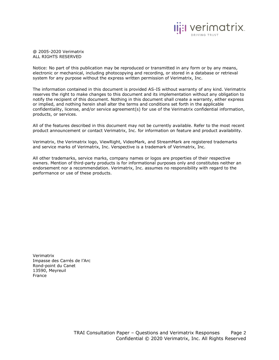

@ 2005-2020 Verimatrix ALL RIGHTS RESERVED

Notice: No part of this publication may be reproduced or transmitted in any form or by any means, electronic or mechanical, including photocopying and recording, or stored in a database or retrieval system for any purpose without the express written permission of Verimatrix, Inc.

The information contained in this document is provided AS-IS without warranty of any kind. Verimatrix reserves the right to make changes to this document and its implementation without any obligation to notify the recipient of this document. Nothing in this document shall create a warranty, either express or implied, and nothing herein shall alter the terms and conditions set forth in the applicable confidentiality, license, and/or service agreement(s) for use of the Verimatrix confidential information, products, or services.

All of the features described in this document may not be currently available. Refer to the most recent product announcement or contact Verimatrix, Inc. for information on feature and product availability.

Verimatrix, the Verimatrix logo, ViewRight, VideoMark, and StreamMark are registered trademarks and service marks of Verimatrix, Inc. Verspective is a trademark of Verimatrix, Inc.

All other trademarks, service marks, company names or logos are properties of their respective owners. Mention of third-party products is for informational purposes only and constitutes neither an endorsement nor a recommendation. Verimatrix, Inc. assumes no responsibility with regard to the performance or use of these products.

Verimatrix Impasse des Carrés de l'Arc Rond-point du Canet 13590, Meyreuil France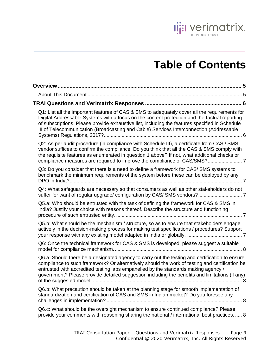

## **Table of Contents**

| Q1: List all the important features of CAS & SMS to adequately cover all the requirements for<br>Digital Addressable Systems with a focus on the content protection and the factual reporting<br>of subscriptions. Please provide exhaustive list, including the features specified in Schedule<br>III of Telecommunication (Broadcasting and Cable) Services Interconnection (Addressable |  |
|--------------------------------------------------------------------------------------------------------------------------------------------------------------------------------------------------------------------------------------------------------------------------------------------------------------------------------------------------------------------------------------------|--|
| Q2: As per audit procedure (in compliance with Schedule III), a certificate from CAS / SMS<br>vendor suffices to confirm the compliance. Do you think that all the CAS & SMS comply with<br>the requisite features as enumerated in question 1 above? If not, what additional checks or                                                                                                    |  |
| Q3: Do you consider that there is a need to define a framework for CAS/ SMS systems to<br>benchmark the minimum requirements of the system before these can be deployed by any                                                                                                                                                                                                             |  |
| Q4: What safeguards are necessary so that consumers as well as other stakeholders do not                                                                                                                                                                                                                                                                                                   |  |
| Q5.a: Who should be entrusted with the task of defining the framework for CAS & SMS in<br>India? Justify your choice with reasons thereof. Describe the structure and functioning                                                                                                                                                                                                          |  |
| Q5.b: What should be the mechanism / structure, so as to ensure that stakeholders engage<br>actively in the decision-making process for making test specifications / procedures? Support                                                                                                                                                                                                   |  |
| Q6: Once the technical framework for CAS & SMS is developed, please suggest a suitable                                                                                                                                                                                                                                                                                                     |  |
| Q6.a: Should there be a designated agency to carry out the testing and certification to ensure<br>compliance to such framework? Or alternatively should the work of testing and certification be<br>entrusted with accredited testing labs empanelled by the standards making agency /<br>government? Please provide detailed suggestion including the benefits and limitations (if any)   |  |
| Q6.b: What precaution should be taken at the planning stage for smooth implementation of<br>standardization and certification of CAS and SMS in Indian market? Do you foresee any                                                                                                                                                                                                          |  |
| Q6.c: What should be the oversight mechanism to ensure continued compliance? Please<br>provide your comments with reasoning sharing the national / international best practices.  8                                                                                                                                                                                                        |  |
| TRAI Consultation Paper - Questions and Verimatrix Responses<br>Page 3<br>Confidential © 2020 Verimatrix, Inc. All Rights Reserved                                                                                                                                                                                                                                                         |  |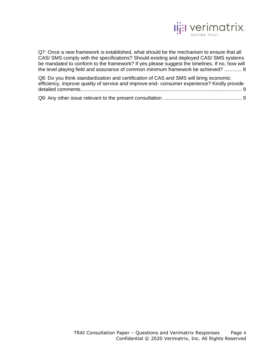

[Q7: Once a new framework is established, what should be the mechanism to ensure that all](#page-7-4)  [CAS/ SMS comply with the specifications? Should existing and deployed CAS/ SMS systems](#page-7-4)  [be mandated to conform to the framework? If yes please suggest the timelines. If no, how will](#page-7-4)  [the level playing field and assurance of common minimum framework be achieved?](#page-7-4) ............. 8

| Q8: Do you think standardization and certification of CAS and SMS will bring economic      |  |
|--------------------------------------------------------------------------------------------|--|
| efficiency, improve quality of service and improve end-consumer experience? Kindly provide |  |
|                                                                                            |  |
|                                                                                            |  |

[Q9: Any other issue relevant to the present consultation.](#page-8-1) ......................................................... 9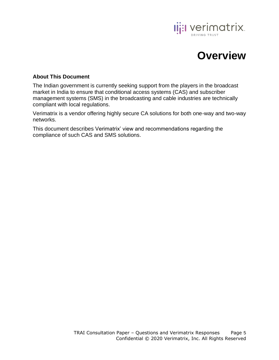

### **Overview**

#### <span id="page-4-1"></span><span id="page-4-0"></span>**About This Document**

The Indian government is currently seeking support from the players in the broadcast market in India to ensure that conditional access systems (CAS) and subscriber management systems (SMS) in the broadcasting and cable industries are technically compliant with local regulations.

Verimatrix is a vendor offering highly secure CA solutions for both one-way and two-way networks.

This document describes Verimatrix' view and recommendations regarding the compliance of such CAS and SMS solutions.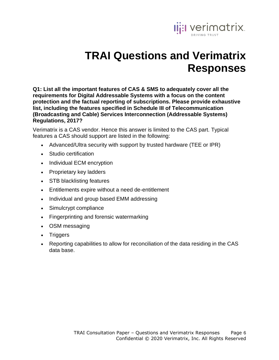

# **TRAI Questions and Verimatrix Responses**

<span id="page-5-1"></span><span id="page-5-0"></span>**Q1: List all the important features of CAS & SMS to adequately cover all the requirements for Digital Addressable Systems with a focus on the content protection and the factual reporting of subscriptions. Please provide exhaustive list, including the features specified in Schedule III of Telecommunication (Broadcasting and Cable) Services Interconnection (Addressable Systems) Regulations, 2017?**

Verimatrix is a CAS vendor. Hence this answer is limited to the CAS part. Typical features a CAS should support are listed in the following:

- Advanced/Ultra security with support by trusted hardware (TEE or IPR)
- Studio certification
- Individual ECM encryption
- Proprietary key ladders
- STB blacklisting features
- Entitlements expire without a need de-entitlement
- Individual and group based EMM addressing
- Simulcrypt compliance
- Fingerprinting and forensic watermarking
- OSM messaging
- Triggers
- Reporting capabilities to allow for reconciliation of the data residing in the CAS data base.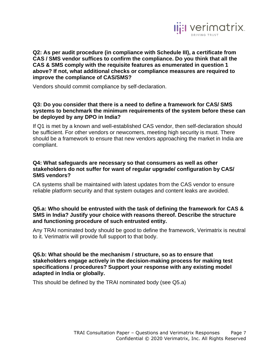

<span id="page-6-0"></span>**Q2: As per audit procedure (in compliance with Schedule III), a certificate from CAS / SMS vendor suffices to confirm the compliance. Do you think that all the CAS & SMS comply with the requisite features as enumerated in question 1 above? If not, what additional checks or compliance measures are required to improve the compliance of CAS/SMS?** 

Vendors should commit compliance by self-declaration.

#### <span id="page-6-1"></span>**Q3: Do you consider that there is a need to define a framework for CAS/ SMS systems to benchmark the minimum requirements of the system before these can be deployed by any DPO in India?**

If Q1 is met by a known and well-established CAS vendor, then self-declaration should be sufficient. For other vendors or newcomers, meeting high security is must. There should be a framework to ensure that new vendors approaching the market in India are compliant.

#### <span id="page-6-2"></span>**Q4: What safeguards are necessary so that consumers as well as other stakeholders do not suffer for want of regular upgrade/ configuration by CAS/ SMS vendors?**

CA systems shall be maintained with latest updates from the CAS vendor to ensure reliable platform security and that system outages and content leaks are avoided.

#### <span id="page-6-3"></span>**Q5.a: Who should be entrusted with the task of defining the framework for CAS & SMS in India? Justify your choice with reasons thereof. Describe the structure and functioning procedure of such entrusted entity.**

Any TRAI nominated body should be good to define the framework, Verimatrix is neutral to it. Verimatrix will provide full support to that body.

<span id="page-6-4"></span>**Q5.b: What should be the mechanism / structure, so as to ensure that stakeholders engage actively in the decision-making process for making test specifications / procedures? Support your response with any existing model adapted in India or globally.**

This should be defined by the TRAI nominated body (see Q5.a)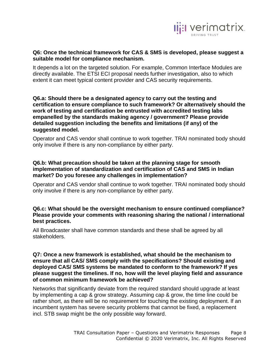

#### <span id="page-7-0"></span>**Q6: Once the technical framework for CAS & SMS is developed, please suggest a suitable model for compliance mechanism.**

It depends a lot on the targeted solution. For example, Common Interface Modules are directly available. The ETSI ECI proposal needs further investigation, also to which extent it can meet typical content provider and CAS security requirements.

#### <span id="page-7-1"></span>**Q6.a: Should there be a designated agency to carry out the testing and certification to ensure compliance to such framework? Or alternatively should the work of testing and certification be entrusted with accredited testing labs empanelled by the standards making agency / government? Please provide detailed suggestion including the benefits and limitations (if any) of the suggested model.**

Operator and CAS vendor shall continue to work together. TRAI nominated body should only involve if there is any non-compliance by either party.

#### <span id="page-7-2"></span>**Q6.b: What precaution should be taken at the planning stage for smooth implementation of standardization and certification of CAS and SMS in Indian market? Do you foresee any challenges in implementation?**

Operator and CAS vendor shall continue to work together. TRAI nominated body should only involve if there is any non-compliance by either party.

#### <span id="page-7-3"></span>**Q6.c: What should be the oversight mechanism to ensure continued compliance? Please provide your comments with reasoning sharing the national / international best practices.**

All Broadcaster shall have common standards and these shall be agreed by all stakeholders.

#### <span id="page-7-4"></span>**Q7: Once a new framework is established, what should be the mechanism to ensure that all CAS/ SMS comply with the specifications? Should existing and deployed CAS/ SMS systems be mandated to conform to the framework? If yes please suggest the timelines. If no, how will the level playing field and assurance of common minimum framework be achieved?**

Networks that significantly deviate from the required standard should upgrade at least by implementing a cap & grow strategy. Assuming cap & grow, the time line could be rather short, as there will be no requirement for touching the existing deployment. If an incumbent system has severe security problems that cannot be fixed, a replacement incl. STB swap might be the only possible way forward.